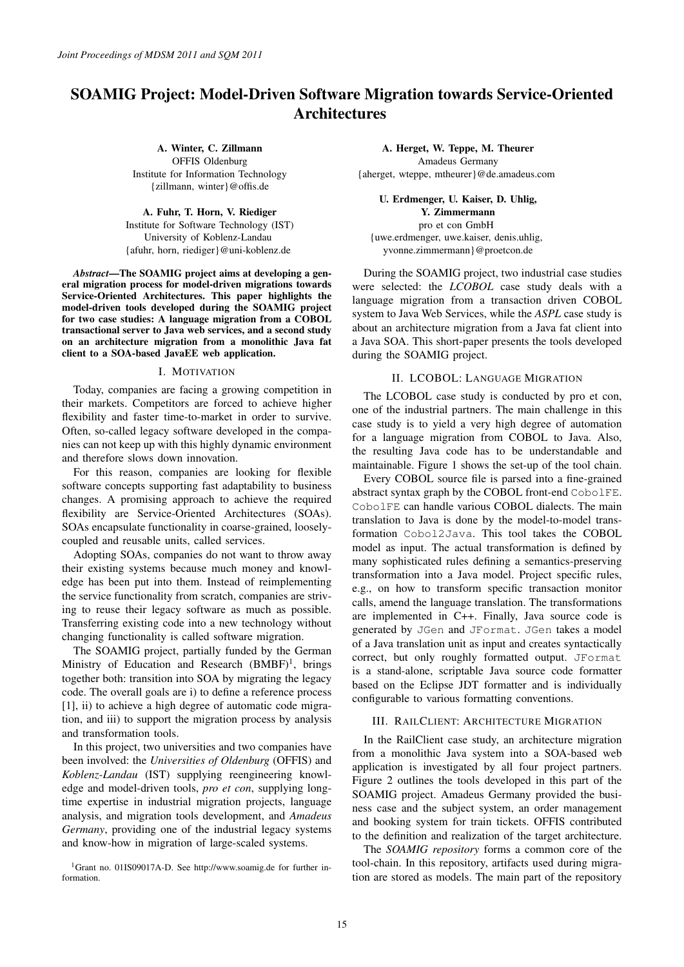# SOAMIG Project: Model-Driven Software Migration towards Service-Oriented Architectures

A. Winter, C. Zillmann OFFIS Oldenburg Institute for Information Technology {zillmann, winter}@offis.de

A. Fuhr, T. Horn, V. Riediger Institute for Software Technology (IST) University of Koblenz-Landau {afuhr, horn, riediger}@uni-koblenz.de

*Abstract*—The SOAMIG project aims at developing a general migration process for model-driven migrations towards Service-Oriented Architectures. This paper highlights the model-driven tools developed during the SOAMIG project for two case studies: A language migration from a COBOL transactional server to Java web services, and a second study on an architecture migration from a monolithic Java fat client to a SOA-based JavaEE web application.

## I. MOTIVATION

Today, companies are facing a growing competition in their markets. Competitors are forced to achieve higher flexibility and faster time-to-market in order to survive. Often, so-called legacy software developed in the companies can not keep up with this highly dynamic environment and therefore slows down innovation.

For this reason, companies are looking for flexible software concepts supporting fast adaptability to business changes. A promising approach to achieve the required flexibility are Service-Oriented Architectures (SOAs). SOAs encapsulate functionality in coarse-grained, looselycoupled and reusable units, called services.

Adopting SOAs, companies do not want to throw away their existing systems because much money and knowledge has been put into them. Instead of reimplementing the service functionality from scratch, companies are striving to reuse their legacy software as much as possible. Transferring existing code into a new technology without changing functionality is called software migration.

The SOAMIG project, partially funded by the German Ministry of Education and Research  $(BMBF)^1$ , brings together both: transition into SOA by migrating the legacy code. The overall goals are i) to define a reference process [1], ii) to achieve a high degree of automatic code migration, and iii) to support the migration process by analysis and transformation tools.

In this project, two universities and two companies have been involved: the *Universities of Oldenburg* (OFFIS) and *Koblenz-Landau* (IST) supplying reengineering knowledge and model-driven tools, *pro et con*, supplying longtime expertise in industrial migration projects, language analysis, and migration tools development, and *Amadeus Germany*, providing one of the industrial legacy systems and know-how in migration of large-scaled systems.

1Grant no. 01IS09017A-D. See http://www.soamig.de for further information.

A. Herget, W. Teppe, M. Theurer Amadeus Germany {aherget, wteppe, mtheurer}@de.amadeus.com

U. Erdmenger, U. Kaiser, D. Uhlig, Y. Zimmermann pro et con GmbH {uwe.erdmenger, uwe.kaiser, denis.uhlig, yvonne.zimmermann}@proetcon.de

During the SOAMIG project, two industrial case studies were selected: the *LCOBOL* case study deals with a language migration from a transaction driven COBOL system to Java Web Services, while the *ASPL* case study is about an architecture migration from a Java fat client into a Java SOA. This short-paper presents the tools developed during the SOAMIG project.

# II. LCOBOL: LANGUAGE MIGRATION

The LCOBOL case study is conducted by pro et con, one of the industrial partners. The main challenge in this case study is to yield a very high degree of automation for a language migration from COBOL to Java. Also, the resulting Java code has to be understandable and maintainable. Figure 1 shows the set-up of the tool chain.

Every COBOL source file is parsed into a fine-grained abstract syntax graph by the COBOL front-end CobolFE. CobolFE can handle various COBOL dialects. The main translation to Java is done by the model-to-model transformation Cobol2Java. This tool takes the COBOL model as input. The actual transformation is defined by many sophisticated rules defining a semantics-preserving transformation into a Java model. Project specific rules, e.g., on how to transform specific transaction monitor calls, amend the language translation. The transformations are implemented in C++. Finally, Java source code is generated by JGen and JFormat. JGen takes a model of a Java translation unit as input and creates syntactically correct, but only roughly formatted output. JFormat is a stand-alone, scriptable Java source code formatter based on the Eclipse JDT formatter and is individually configurable to various formatting conventions.

#### III. RAILCLIENT: ARCHITECTURE MIGRATION

In the RailClient case study, an architecture migration from a monolithic Java system into a SOA-based web application is investigated by all four project partners. Figure 2 outlines the tools developed in this part of the SOAMIG project. Amadeus Germany provided the business case and the subject system, an order management and booking system for train tickets. OFFIS contributed to the definition and realization of the target architecture.

The *SOAMIG repository* forms a common core of the tool-chain. In this repository, artifacts used during migration are stored as models. The main part of the repository